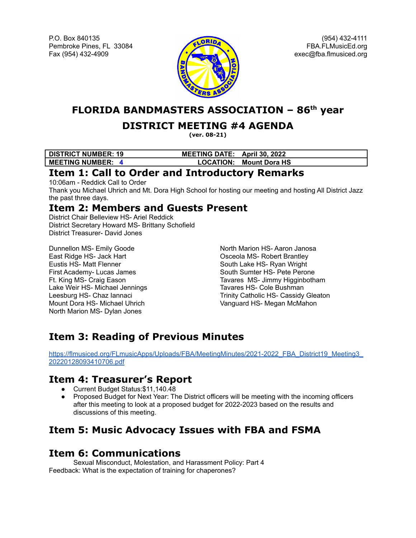P.O. Box 840135 Pembroke Pines, FL 33084 Fax (954) 432-4909



(954) 432-4111 FBA.FLMusicEd.org exec@fba.flmusiced.org

**FLORIDA BANDMASTERS ASSOCIATION – 86 th year**

#### **DISTRICT MEETING #4 AGENDA**

**(ver. 08-21)**

| <b>DISTRICT NUMBER: 19</b> | MEETING DATE: April 30, 2022 |                                |
|----------------------------|------------------------------|--------------------------------|
| <b>MEETING NUMBER: 4</b>   |                              | <b>LOCATION: Mount Dora HS</b> |

#### **Item 1: Call to Order and Introductory Remarks**

10:06am - Reddick Call to Order

Thank you Michael Uhrich and Mt. Dora High School for hosting our meeting and hosting All District Jazz the past three days.

## **Item 2: Members and Guests Present**

District Chair Belleview HS- Ariel Reddick District Secretary Howard MS- Brittany Schofield District Treasurer- David Jones

Dunnellon MS- Emily Goode East Ridge HS- Jack Hart Eustis HS- Matt Flenner First Academy- Lucas James Ft. King MS- Craig Eason Lake Weir HS- Michael Jennings Leesburg HS- Chaz Iannaci Mount Dora HS- Michael Uhrich North Marion MS- Dylan Jones

North Marion HS- Aaron Janosa Osceola MS- Robert Brantley South Lake HS- Ryan Wright South Sumter HS- Pete Perone Tavares MS- Jimmy Higginbotham Tavares HS- Cole Bushman Trinity Catholic HS- Cassidy Gleaton Vanguard HS- Megan McMahon

# **Item 3: Reading of Previous Minutes**

[https://flmusiced.org/FLmusicApps/Uploads/FBA/MeetingMinutes/2021-2022\\_FBA\\_District19\\_Meeting3\\_](https://flmusiced.org/FLmusicApps/Uploads/FBA/MeetingMinutes/2021-2022_FBA_District19_Meeting3_20220128093410706.pdf) [20220128093410706.pdf](https://flmusiced.org/FLmusicApps/Uploads/FBA/MeetingMinutes/2021-2022_FBA_District19_Meeting3_20220128093410706.pdf)

### **Item 4: Treasurer's Report**

- Current Budget Status:\$11,140.48
- Proposed Budget for Next Year: The District officers will be meeting with the incoming officers after this meeting to look at a proposed budget for 2022-2023 based on the results and discussions of this meeting.

# **Item 5: Music Advocacy Issues with FBA and FSMA**

### **Item 6: Communications**

Sexual Misconduct, Molestation, and Harassment Policy: Part 4 Feedback: What is the expectation of training for chaperones?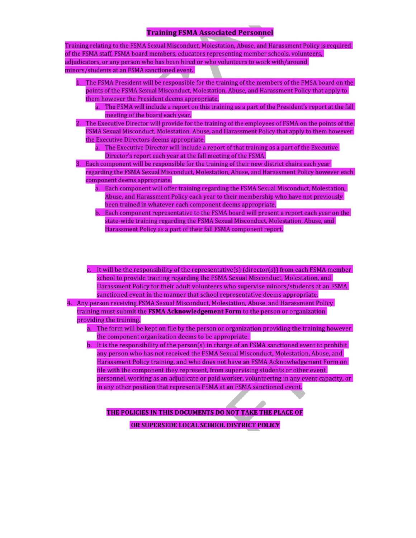#### **Training FSMA Associated Personnel**

Training relating to the FSMA Sexual Misconduct, Molestation, Abuse, and Harassment Policy is required of the FSMA staff, FSMA board members, educators representing member schools, volunteers, adjudicators, or any person who has been hired or who volunteers to work with/around minors/students at an FSMA sanctioned event.

- 1. The FSMA President will be responsible for the training of the members of the FMSA board on the points of the FSMA Sexual Misconduct, Molestation, Abuse, and Harassment Policy that apply to them however the President deems appropriate.
	- a. The FSMA will include a report on this training as a part of the President's report at the fall meeting of the board each year.

2. The Executive Director will provide for the training of the employees of FSMA on the points of the FSMA Sexual Misconduct, Molestation, Abuse, and Harassment Policy that apply to them however the Executive Directors deems appropriate.

a. The Executive Director will include a report of that training as a part of the Executive Director's report each year at the fall meeting of the FSMA.

3. Each component will be responsible for the training of their new district chairs each year regarding the FSMA Sexual Misconduct, Molestation, Abuse, and Harassment Policy however each component deems appropriate.

- a. Each component will offer training regarding the FSMA Sexual Misconduct, Molestation, Abuse, and Harassment Policy each year to their membership who have not previously been trained in whatever each component deems appropriate.
- b. Each component representative to the FSMA board will present a report each year on the state-wide training regarding the FSMA Sexual Misconduct, Molestation, Abuse, and Harassment Policy as a part of their fall FSMA component report.
- c. It will be the responsibility of the representative(s) (director(s)) from each FSMA member school to provide training regarding the FSMA Sexual Misconduct, Molestation, and Harassment Policy for their adult volunteers who supervise minors/students at an FSMA sanctioned event in the manner that school representative deems appropriate.

4. Any person receiving FSMA Sexual Misconduct, Molestation, Abuse, and Harassment Policy training must submit the FSMA Acknowledgement Form to the person or organization providing the training.

- a. The form will be kept on file by the person or organization providing the training however the component organization deems to be appropriate.
- b. It is the responsibility of the person(s) in charge of an FSMA sanctioned event to prohibit any person who has not received the FSMA Sexual Misconduct, Molestation, Abuse, and Harassment Policy training, and who does not have an FSMA Acknowledgement Form on file with the component they represent, from supervising students or other event personnel, working as an adjudicate or paid worker, volunteering in any event capacity, or in any other position that represents FSMA at an FSMA sanctioned event.

THE POLICIES IN THIS DOCUMENTS DO NOT TAKE THE PLACE OF

OR SUPERSEDE LOCAL SCHOOL DISTRICT POLICY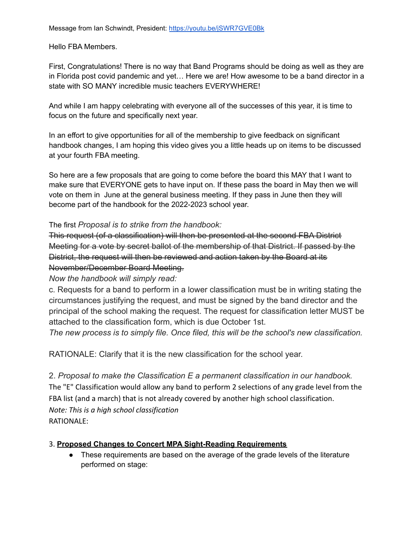Hello FBA Members.

First, Congratulations! There is no way that Band Programs should be doing as well as they are in Florida post covid pandemic and yet… Here we are! How awesome to be a band director in a state with SO MANY incredible music teachers EVERYWHERE!

And while I am happy celebrating with everyone all of the successes of this year, it is time to focus on the future and specifically next year.

In an effort to give opportunities for all of the membership to give feedback on significant handbook changes, I am hoping this video gives you a little heads up on items to be discussed at your fourth FBA meeting.

So here are a few proposals that are going to come before the board this MAY that I want to make sure that EVERYONE gets to have input on. If these pass the board in May then we will vote on them in June at the general business meeting. If they pass in June then they will become part of the handbook for the 2022-2023 school year.

The first *Proposal is to strike from the handbook:*

This request (of a classification) will then be presented at the second FBA District Meeting for a vote by secret ballot of the membership of that District. If passed by the District, the request will then be reviewed and action taken by the Board at its November/December Board Meeting.

*Now the handbook will simply read:*

c. Requests for a band to perform in a lower classification must be in writing stating the circumstances justifying the request, and must be signed by the band director and the principal of the school making the request. The request for classification letter MUST be attached to the classification form, which is due October 1st.

*The new process is to simply file. Once filed, this will be the school's new classification.*

RATIONALE: Clarify that it is the new classification for the school year.

2. *Proposal to make the Classification E a permanent classification in our handbook.* The "E" Classification would allow any band to perform 2 selections of any grade level from the FBA list (and a march) that is not already covered by another high school classification. *Note: This is a high school classification* RATIONALE:

#### 3. **Proposed Changes to Concert MPA Sight-Reading Requirements**

● These requirements are based on the average of the grade levels of the literature performed on stage: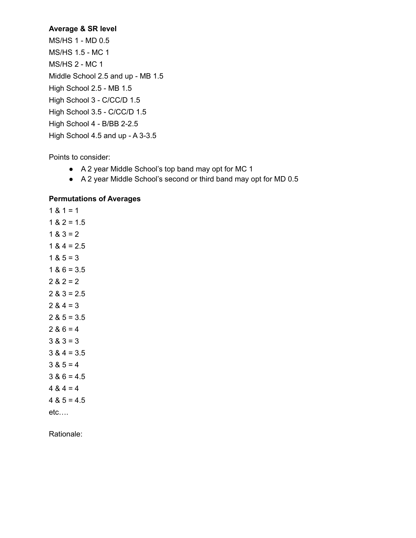#### **Average & SR level**

MS/HS 1 - MD 0.5 MS/HS 1.5 - MC 1 MS/HS 2 - MC 1 Middle School 2.5 and up - MB 1.5 High School 2.5 - MB 1.5 High School 3 - C/CC/D 1.5 High School 3.5 - C/CC/D 1.5 High School 4 - B/BB 2-2.5 High School 4.5 and up - A 3-3.5

Points to consider:

- A 2 year Middle School's top band may opt for MC 1
- A 2 year Middle School's second or third band may opt for MD 0.5

#### **Permutations of Averages**

 $1 & 1 = 1$  $1 & 2 = 1.5$  $1 & 3 = 2$  $1 & 4 = 2.5$  $1 & 8 & 5 = 3$  $1 & 86 = 3.5$  $2 & 2 = 2$  $2 & 3 = 2.5$  $2 & 4 = 3$  $2 & 5 = 3.5$  $2 & 6 = 4$  $3 & 3 = 3$  $3 & 4 = 3.5$  $3 & 5 = 4$  $3 & 6 = 4.5$  $4 8 4 = 4$  $4 & 5 = 4.5$ etc….

Rationale: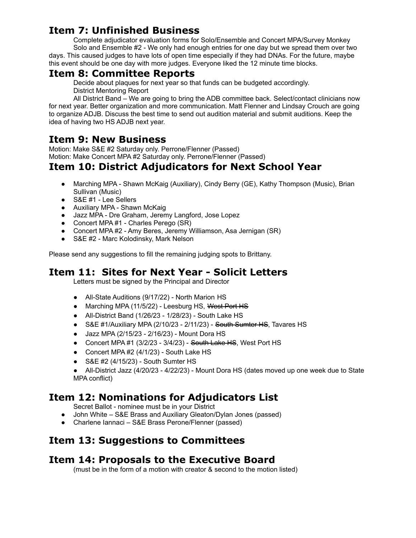#### **Item 7: Unfinished Business**

Complete adjudicator evaluation forms for Solo/Ensemble and Concert MPA/Survey Monkey Solo and Ensemble #2 - We only had enough entries for one day but we spread them over two days. This caused judges to have lots of open time especially if they had DNAs. For the future, maybe this event should be one day with more judges. Everyone liked the 12 minute time blocks.

#### **Item 8: Committee Reports**

Decide about plaques for next year so that funds can be budgeted accordingly.

District Mentoring Report

All District Band – We are going to bring the ADB committee back. Select/contact clinicians now for next year. Better organization and more communication. Matt Flenner and Lindsay Crouch are going to organize ADJB. Discuss the best time to send out audition material and submit auditions. Keep the idea of having two HS ADJB next year.

### **Item 9: New Business**

Motion: Make S&E #2 Saturday only. Perrone/Flenner (Passed) Motion: Make Concert MPA #2 Saturday only. Perrone/Flenner (Passed)

#### **Item 10: District Adjudicators for Next School Year**

- Marching MPA Shawn McKaig (Auxiliary), Cindy Berry (GE), Kathy Thompson (Music), Brian Sullivan (Music)
- S&E #1 Lee Sellers
- Auxiliary MPA Shawn McKaig
- Jazz MPA Dre Graham, Jeremy Langford, Jose Lopez
- Concert MPA #1 Charles Perego (SR)
- Concert MPA #2 Amy Beres, Jeremy Williamson, Asa Jernigan (SR)
- S&E #2 Marc Kolodinsky, Mark Nelson

Please send any suggestions to fill the remaining judging spots to Brittany.

#### **Item 11: Sites for Next Year - Solicit Letters**

Letters must be signed by the Principal and Director

- All-State Auditions (9/17/22) North Marion HS
- Marching MPA (11/5/22) Leesburg HS, West Port HS
- All-District Band (1/26/23 1/28/23) South Lake HS
- S&E #1/Auxiliary MPA (2/10/23 2/11/23) South Sumter HS, Tavares HS
- Jazz MPA (2/15/23 2/16/23) Mount Dora HS
- Concert MPA #1 (3/2/23 3/4/23) South Lake HS, West Port HS
- Concert MPA #2 (4/1/23) South Lake HS
- S&E #2 (4/15/23) South Sumter HS

● All-District Jazz (4/20/23 - 4/22/23) - Mount Dora HS (dates moved up one week due to State MPA conflict)

#### **Item 12: Nominations for Adjudicators List**

Secret Ballot - nominee must be in your District

- John White S&E Brass and Auxiliary Gleaton/Dylan Jones (passed)
- Charlene Iannaci S&E Brass Perone/Flenner (passed)

### **Item 13: Suggestions to Committees**

#### **Item 14: Proposals to the Executive Board**

(must be in the form of a motion with creator & second to the motion listed)